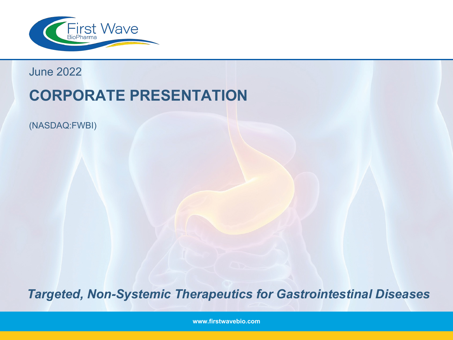

June 2022

# **CORPORATE PRESENTATION**

(NASDAQ:FWBI)

*Targeted, Non-Systemic Therapeutics for Gastrointestinal Diseases*

**www.firstwavebio.com**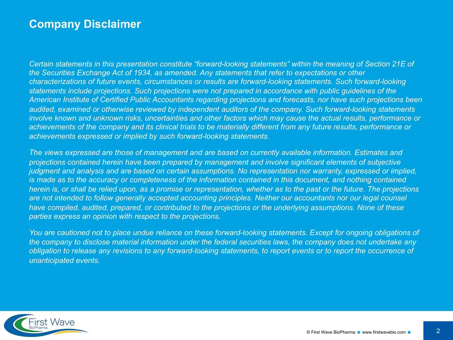### **Company Disclaimer**

*Certain statements in this presentation constitute "forward-looking statements" within the meaning of Section 21E of the Securities Exchange Act of 1934, as amended. Any statements that refer to expectations or other characterizations of future events, circumstances or results are forward-looking statements. Such forward-looking statements include projections. Such projections were not prepared in accordance with public guidelines of the American Institute of Certified Public Accountants regarding projections and forecasts, nor have such projections been audited, examined or otherwise reviewed by independent auditors of the company. Such forward-looking statements involve known and unknown risks, uncertainties and other factors which may cause the actual results, performance or achievements of the company and its clinical trials to be materially different from any future results, performance or achievements expressed or implied by such forward-looking statements.* 

*The views expressed are those of management and are based on currently available information. Estimates and projections contained herein have been prepared by management and involve significant elements of subjective judgment and analysis and are based on certain assumptions. No representation nor warranty, expressed or implied, is made as to the accuracy or completeness of the information contained in this document, and nothing contained herein is, or shall be relied upon, as a promise or representation, whether as to the past or the future. The projections*  are not intended to follow generally accepted accounting principles. Neither our accountants nor our legal counsel *have compiled, audited, prepared, or contributed to the projections or the underlying assumptions. None of these parties express an opinion with respect to the projections.* 

*You are cautioned not to place undue reliance on these forward-looking statements. Except for ongoing obligations of the company to disclose material information under the federal securities laws, the company does not undertake any obligation to release any revisions to any forward-looking statements, to report events or to report the occurrence of unanticipated events.*

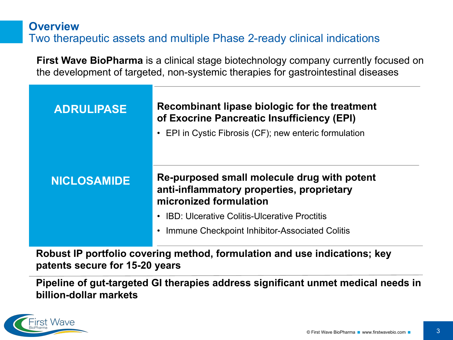## **Overview** Two therapeutic assets and multiple Phase 2-ready clinical indications

**First Wave BioPharma** is a clinical stage biotechnology company currently focused on the development of targeted, non-systemic therapies for gastrointestinal diseases

| <b>ADRULIPASE</b>  | Recombinant lipase biologic for the treatment<br>of Exocrine Pancreatic Insufficiency (EPI)<br>• EPI in Cystic Fibrosis (CF); new enteric formulation |
|--------------------|-------------------------------------------------------------------------------------------------------------------------------------------------------|
| <b>NICLOSAMIDE</b> | Re-purposed small molecule drug with potent<br>anti-inflammatory properties, proprietary<br>micronized formulation                                    |
|                    | <b>IBD: Ulcerative Colitis-Ulcerative Proctitis</b><br>Immune Checkpoint Inhibitor-Associated Colitis                                                 |

**Robust IP portfolio covering method, formulation and use indications; key patents secure for 15-20 years**

**Pipeline of gut-targeted GI therapies address significant unmet medical needs in billion-dollar markets**

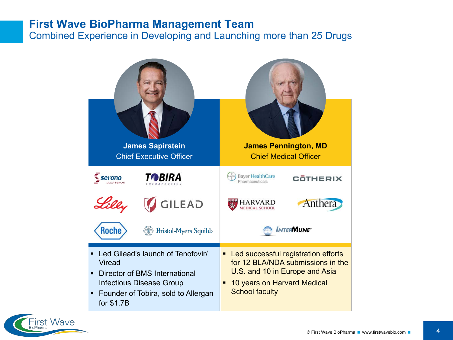#### **First Wave BioPharma Management Team**

Combined Experience in Developing and Launching more than 25 Drugs



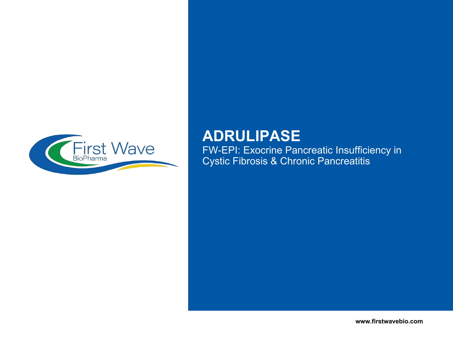

## **ADRULIPASE**

FW-EPI: Exocrine Pancreatic Insufficiency in Cystic Fibrosis & Chronic Pancreatitis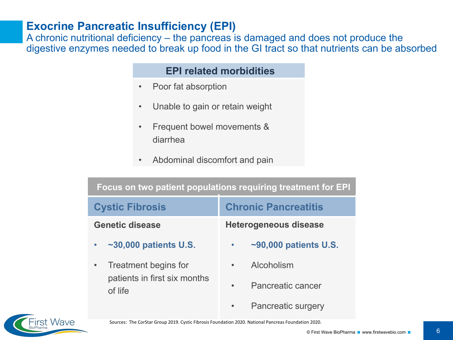### **Exocrine Pancreatic Insufficiency (EPI)**

A chronic nutritional deficiency – the pancreas is damaged and does not produce the digestive enzymes needed to break up food in the GI tract so that nutrients can be absorbed

#### **EPI related morbidities**

- Poor fat absorption
- Unable to gain or retain weight
- Frequent bowel movements & diarrhea
- Abdominal discomfort and pain

| Focus on two patient populations requiring treatment for EPI |                                 |  |  |  |  |
|--------------------------------------------------------------|---------------------------------|--|--|--|--|
| <b>Cystic Fibrosis</b>                                       | <b>Chronic Pancreatitis</b>     |  |  |  |  |
| <b>Genetic disease</b>                                       | <b>Heterogeneous disease</b>    |  |  |  |  |
| $\sim$ 30,000 patients U.S.                                  | $\sim$ 90,000 patients U.S.     |  |  |  |  |
| Treatment begins for<br>patients in first six months         | Alcoholism<br>Pancreatic cancer |  |  |  |  |
| of life                                                      | <b>Pancreatic surgery</b>       |  |  |  |  |



Sources: The CorStar Group 2019. Cystic Fibrosis Foundation 2020. National Pancreas Foundation 2020.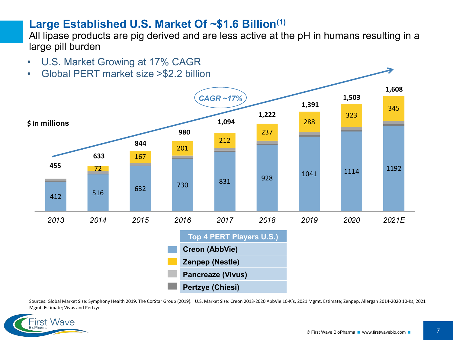### **Large Established U.S. Market Of ~\$1.6 Billion(1)**

All lipase products are pig derived and are less active at the pH in humans resulting in a large pill burden

- U.S. Market Growing at 17% CAGR
- Global PERT market size >\$2.2 billion



Sources: Global Market Size: Symphony Health 2019. The CorStar Group (2019). U.S. Market Size: Creon 2013-2020 AbbVie 10-K's, 2021 Mgmt. Estimate; Zenpep, Allergan 2014-2020 10-Ks, 2021 Mgmt. Estimate; Vivus and Pertzye.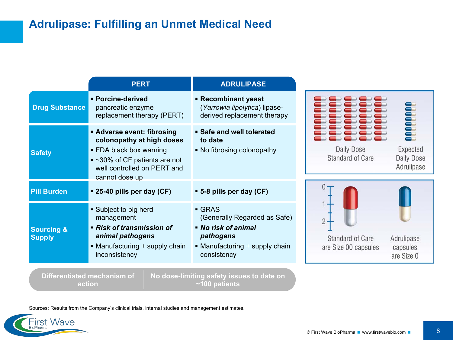## **Adrulipase: Fulfilling an Unmet Medical Need**

|                                        | <b>PERT</b>                                                                                                                                                               | <b>ADRULIPASE</b>                                                                                                                        |                                                                                         |
|----------------------------------------|---------------------------------------------------------------------------------------------------------------------------------------------------------------------------|------------------------------------------------------------------------------------------------------------------------------------------|-----------------------------------------------------------------------------------------|
| <b>Drug Substance</b>                  | · Porcine-derived<br>pancreatic enzyme<br>replacement therapy (PERT)                                                                                                      | ■ Recombinant yeast<br>(Yarrowia lipolytica) lipase-<br>derived replacement therapy                                                      | <b>Control</b>                                                                          |
| <b>Safety</b>                          | <b>Adverse event: fibrosing</b><br>colonopathy at high doses<br>• FDA black box warning<br>■ ~30% of CF patients are not<br>well controlled on PERT and<br>cannot dose up | • Safe and well tolerated<br>to date<br>• No fibrosing colonopathy                                                                       | Daily Dose<br>Expected<br><b>Standard of Care</b><br>Daily Dose<br>Adrulipase           |
| <b>Pill Burden</b>                     | <b>• 25-40 pills per day (CF)</b>                                                                                                                                         | • 5-8 pills per day (CF)                                                                                                                 |                                                                                         |
| <b>Sourcing &amp;</b><br><b>Supply</b> | • Subject to pig herd<br>management<br>• Risk of transmission of<br>animal pathogens<br>• Manufacturing + supply chain<br>inconsistency                                   | $\blacksquare$ GRAS<br>(Generally Regarded as Safe)<br>• No risk of animal<br>pathogens<br>• Manufacturing + supply chain<br>consistency | <b>Standard of Care</b><br>Adrulipase<br>are Size 00 capsules<br>capsules<br>are Size 0 |
| action                                 | Differentiated mechanism of                                                                                                                                               | No dose-limiting safety issues to date on<br>$~100$ patients                                                                             |                                                                                         |

Sources: Results from the Company's clinical trials, internal studies and management estimates.

**First Wave** 

BioPharma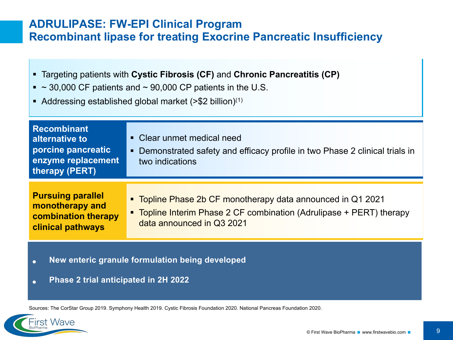### **ADRULIPASE: FW-EPI Clinical Program Recombinant lipase for treating Exocrine Pancreatic Insufficiency**

- § Targeting patients with **Cystic Fibrosis (CF)** and **Chronic Pancreatitis (CP)**
- $\sim$  30,000 CF patients and  $\sim$  90,000 CP patients in the U.S.
- Addressing established global market ( $>$ \$2 billion)<sup>(1)</sup>

| <b>Recombinant</b><br>alternative to<br>porcine pancreatic<br>enzyme replacement<br>therapy (PERT)    | • Clear unmet medical need<br>• Demonstrated safety and efficacy profile in two Phase 2 clinical trials in<br>two indications                                    |
|-------------------------------------------------------------------------------------------------------|------------------------------------------------------------------------------------------------------------------------------------------------------------------|
| <b>Pursuing parallel</b><br>monotherapy and<br><b>combination therapy</b><br><b>clinical pathways</b> | " Topline Phase 2b CF monotherapy data announced in Q1 2021<br>• Topline Interim Phase 2 CF combination (Adrulipase + PERT) therapy<br>data announced in Q3 2021 |

- **New enteric granule formulation being developed**
- **Phase 2 trial anticipated in 2H 2022**

First Wave

Sources: The CorStar Group 2019. Symphony Health 2019. Cystic Fibrosis Foundation 2020. National Pancreas Foundation 2020.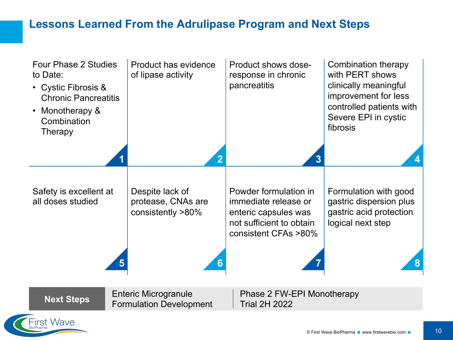### **Lessons Learned From the Adrulipase Program and Next Steps**

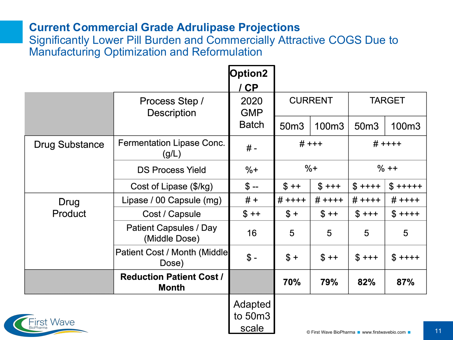### **Current Commercial Grade Adrulipase Projections**

Significantly Lower Pill Burden and Commercially Attractive COGS Due to Manufacturing Optimization and Reformulation

|                   |                                          | Option2                     |                |                                                                         |               |             |
|-------------------|------------------------------------------|-----------------------------|----------------|-------------------------------------------------------------------------|---------------|-------------|
|                   |                                          | CP                          |                |                                                                         |               |             |
|                   | Process Step /<br><b>Description</b>     | 2020<br><b>GMP</b>          | <b>CURRENT</b> |                                                                         | <b>TARGET</b> |             |
|                   |                                          | <b>Batch</b>                | 50m3           | 100m <sub>3</sub>                                                       | 50m3          | 100m3       |
| Drug Substance    | Fermentation Lipase Conc.<br>(g/L)       | $# -$                       | $# + + +$      |                                                                         | $# + + + +$   |             |
|                   | <b>DS Process Yield</b>                  | $%+$                        | $%+$           |                                                                         | $% + +$       |             |
|                   | Cost of Lipase (\$/kg)                   | $$ -$                       | $$ ++$         | $$+++$                                                                  | $$$ ++++      | $$$ +++++   |
| Drug              | Lipase / 00 Capsule (mg)                 | $# +$                       | $# + + + +$    | $# + + + +$                                                             | $# + + + +$   | $# + + + +$ |
| Product           | Cost / Capsule                           | $$++$                       | $$+$           | $$ ++$                                                                  | $$+++$        | $$$ ++++    |
|                   | Patient Capsules / Day<br>(Middle Dose)  | 16                          | 5              | 5                                                                       | 5             | 5           |
|                   | Patient Cost / Month (Middle<br>Dose)    | $$ -$                       | $$+$           | $$ ++$                                                                  | $$+++$        | $$$ ++++    |
|                   | <b>Reduction Patient Cost /</b><br>Month |                             | 70%            | 79%                                                                     | 82%           | 87%         |
| <b>First Wave</b> |                                          | Adapted<br>to 50m3<br>scale |                | $\otimes$ First Ways Displayers $\blacksquare$ weever first ways big so |               |             |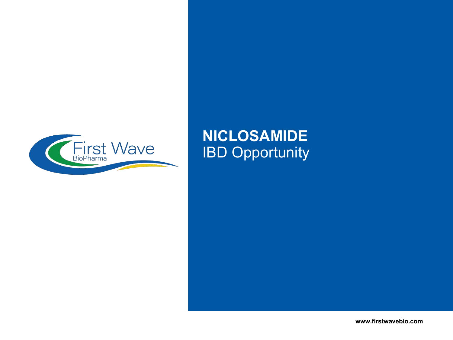

## **NICLOSAMIDE** IBD Opportunity

**www.firstwavebio.com**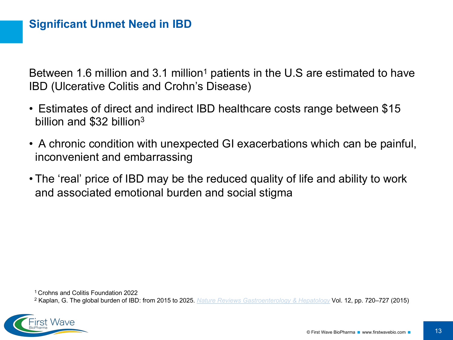Between 1.6 million and 3.1 million<sup>1</sup> patients in the U.S are estimated to have IBD (Ulcerative Colitis and Crohn's Disease)

- Estimates of direct and indirect IBD healthcare costs range between \$15 billion and \$32 billion<sup>3</sup>
- A chronic condition with unexpected GI exacerbations which can be painful, inconvenient and embarrassing
- The 'real' price of IBD may be the reduced quality of life and ability to work and associated emotional burden and social stigma

1 Crohns and Colitis Foundation 2022

<sup>2</sup> Kaplan, G. The global burden of IBD: from 2015 to 2025. *[Nature Reviews Gastroenterology & Hepatology](https://www.nature.com/nrgastro)* Vol. 12, pp. 720–727 (2015)

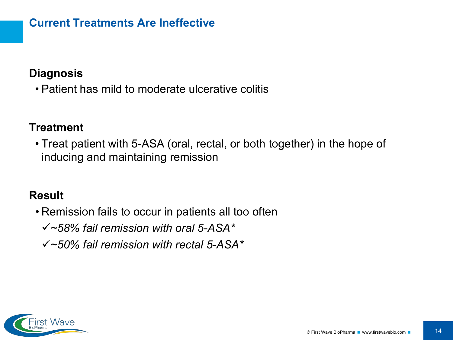### **Current Treatments Are Ineffective**

### **Diagnosis**

• Patient has mild to moderate ulcerative colitis

### **Treatment**

• Treat patient with 5-ASA (oral, rectal, or both together) in the hope of inducing and maintaining remission

### **Result**

- Remission fails to occur in patients all too often
	- ü*~58% fail remission with oral 5-ASA\**
	- ü*~50% fail remission with rectal 5-ASA\**

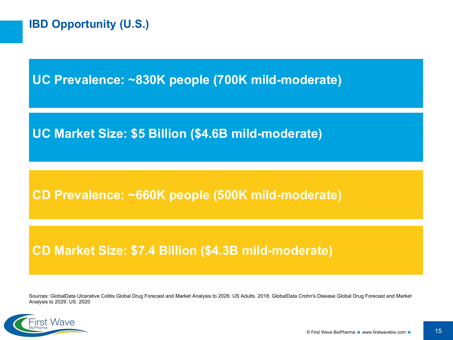**UC Prevalence: ~830K people (700K mild-moderate)**

**UC Market Size: \$5 Billion (\$4.6B mild-moderate)**

**CD Prevalence: ~660K people (500K mild-moderate)**

## **CD Market Size: \$7.4 Billion (\$4.3B mild-moderate)**

Sources: GlobalData Ulcerative Colitis Global Drug Forecast and Market Analysis to 2026: US Adults. 2018; GlobalData Crohn's Disease Global Drug Forecast and Market Analysis to 2029: US. 2020

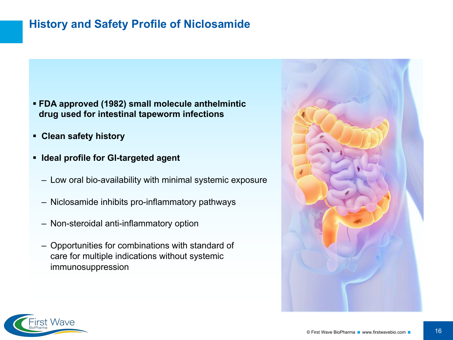### **History and Safety Profile of Niclosamide**

- § **FDA approved (1982) small molecule anthelmintic drug used for intestinal tapeworm infections**
- § **Clean safety history**
- § **Ideal profile for GI-targeted agent**
	- Low oral bio-availability with minimal systemic exposure
	- Niclosamide inhibits pro-inflammatory pathways
	- Non-steroidal anti-inflammatory option
	- Opportunities for combinations with standard of care for multiple indications without systemic immunosuppression



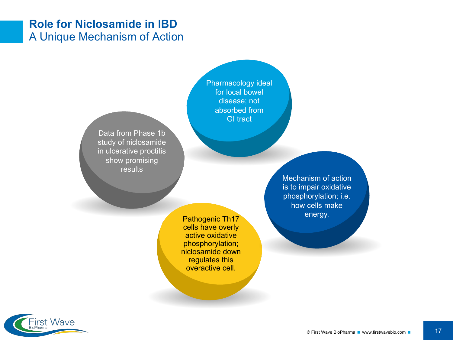### **Role for Niclosamide in IBD** A Unique Mechanism of Action

Data from Phase 1b study of niclosamide in ulcerative proctitis show promising results

Pharmacology ideal for local bowel disease; not absorbed from GI tract

Pathogenic Th17 energy. cells have overly active oxidative phosphorylation; niclosamide down regulates this overactive cell.

Mechanism of action is to impair oxidative phosphorylation; i.e. how cells make

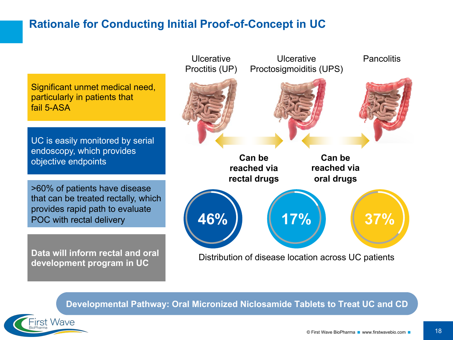### **Rationale for Conducting Initial Proof-of-Concept in UC**

Significant unmet medical need, particularly in patients that fail 5-ASA

UC is easily monitored by serial endoscopy, which provides objective endpoints

>60% of patients have disease that can be treated rectally, which provides rapid path to evaluate POC with rectal delivery

**Data will inform rectal and oral development program in UC**

First Wave



**Developmental Pathway: Oral Micronized Niclosamide Tablets to Treat UC and CD**